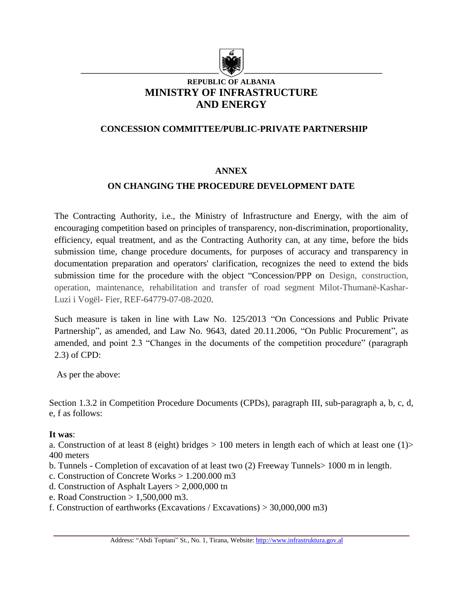

### **REPUBLIC OF ALBANIA MINISTRY OF INFRASTRUCTURE AND ENERGY**

### **CONCESSION COMMITTEE/PUBLIC-PRIVATE PARTNERSHIP**

#### **ANNEX**

### **ON CHANGING THE PROCEDURE DEVELOPMENT DATE**

The Contracting Authority, i.e., the Ministry of Infrastructure and Energy, with the aim of encouraging competition based on principles of transparency, non-discrimination, proportionality, efficiency, equal treatment, and as the Contracting Authority can, at any time, before the bids submission time, change procedure documents, for purposes of accuracy and transparency in documentation preparation and operators' clarification, recognizes the need to extend the bids submission time for the procedure with the object "Concession/PPP on Design, construction, operation, maintenance, rehabilitation and transfer of road segment Milot-Thumanë-Kashar-Luzi i Vogël- Fier, REF-64779-07-08-2020.

Such measure is taken in line with Law No. 125/2013 "On Concessions and Public Private Partnership", as amended, and Law No. 9643, dated 20.11.2006, "On Public Procurement", as amended, and point 2.3 "Changes in the documents of the competition procedure" (paragraph 2.3) of CPD:

As per the above:

Section 1.3.2 in Competition Procedure Documents (CPDs), paragraph III, sub-paragraph a, b, c, d, e, f as follows:

#### **It was**:

a. Construction of at least 8 (eight) bridges  $> 100$  meters in length each of which at least one (1) 400 meters

- b. Tunnels Completion of excavation of at least two (2) Freeway Tunnels> 1000 m in length.
- c. Construction of Concrete Works > 1.200.000 m3
- d. Construction of Asphalt Layers > 2,000,000 tn
- e. Road Construction  $> 1,500,000$  m3.
- f. Construction of earthworks (Excavations / Excavations) > 30,000,000 m3)